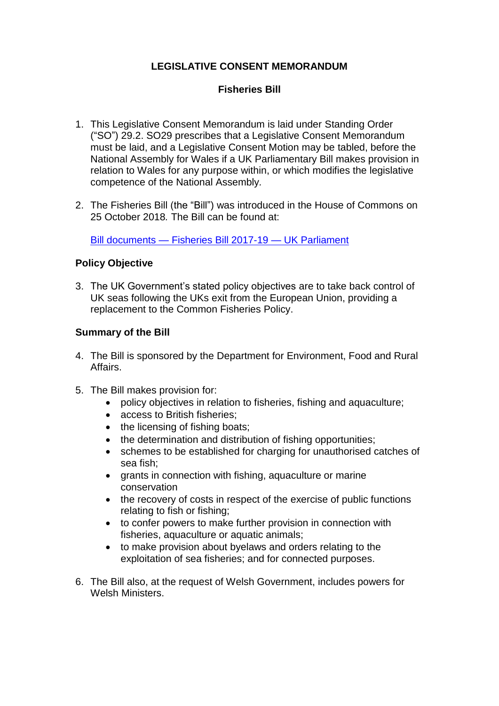# **LEGISLATIVE CONSENT MEMORANDUM**

## **Fisheries Bill**

- 1. This Legislative Consent Memorandum is laid under Standing Order ("SO") 29.2. SO29 prescribes that a Legislative Consent Memorandum must be laid, and a Legislative Consent Motion may be tabled, before the National Assembly for Wales if a UK Parliamentary Bill makes provision in relation to Wales for any purpose within, or which modifies the legislative competence of the National Assembly*.*
- 2. The Fisheries Bill (the "Bill") was introduced in the House of Commons on 25 October 2018*.* The Bill can be found at:

Bill documents — [Fisheries Bill 2017-19 —](https://services.parliament.uk/Bills/2017-19/fisheries/documents.html) UK Parliament

## **Policy Objective**

3. The UK Government's stated policy objectives are to take back control of UK seas following the UKs exit from the European Union, providing a replacement to the Common Fisheries Policy.

## **Summary of the Bill**

- 4. The Bill is sponsored by the Department for Environment, Food and Rural Affairs.
- 5. The Bill makes provision for:
	- policy objectives in relation to fisheries, fishing and aquaculture;
	- access to British fisheries:
	- the licensing of fishing boats;
	- the determination and distribution of fishing opportunities;
	- schemes to be established for charging for unauthorised catches of sea fish;
	- grants in connection with fishing, aquaculture or marine conservation
	- the recovery of costs in respect of the exercise of public functions relating to fish or fishing;
	- to confer powers to make further provision in connection with fisheries, aquaculture or aquatic animals;
	- to make provision about byelaws and orders relating to the exploitation of sea fisheries; and for connected purposes.
- 6. The Bill also, at the request of Welsh Government, includes powers for Welsh Ministers.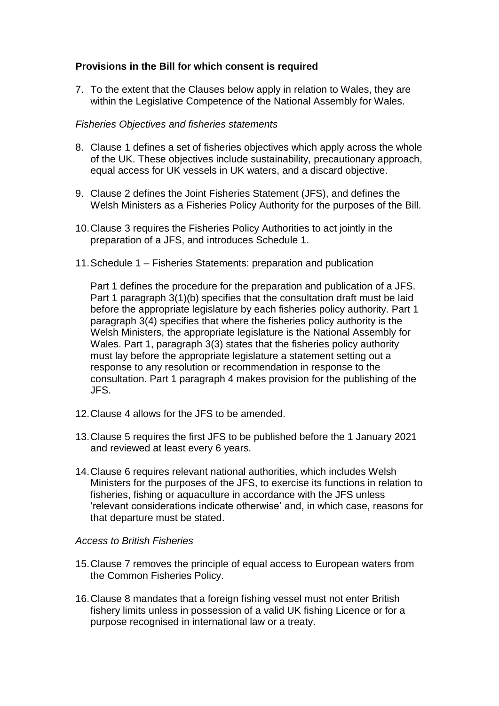## **Provisions in the Bill for which consent is required**

7. To the extent that the Clauses below apply in relation to Wales, they are within the Legislative Competence of the National Assembly for Wales.

### *Fisheries Objectives and fisheries statements*

- 8. Clause 1 defines a set of fisheries objectives which apply across the whole of the UK. These objectives include sustainability, precautionary approach, equal access for UK vessels in UK waters, and a discard objective.
- 9. Clause 2 defines the Joint Fisheries Statement (JFS), and defines the Welsh Ministers as a Fisheries Policy Authority for the purposes of the Bill.
- 10.Clause 3 requires the Fisheries Policy Authorities to act jointly in the preparation of a JFS, and introduces Schedule 1.
- 11.Schedule 1 Fisheries Statements: preparation and publication

Part 1 defines the procedure for the preparation and publication of a JFS. Part 1 paragraph 3(1)(b) specifies that the consultation draft must be laid before the appropriate legislature by each fisheries policy authority. Part 1 paragraph 3(4) specifies that where the fisheries policy authority is the Welsh Ministers, the appropriate legislature is the National Assembly for Wales. Part 1, paragraph 3(3) states that the fisheries policy authority must lay before the appropriate legislature a statement setting out a response to any resolution or recommendation in response to the consultation. Part 1 paragraph 4 makes provision for the publishing of the JFS.

- 12.Clause 4 allows for the JFS to be amended.
- 13.Clause 5 requires the first JFS to be published before the 1 January 2021 and reviewed at least every 6 years.
- 14.Clause 6 requires relevant national authorities, which includes Welsh Ministers for the purposes of the JFS, to exercise its functions in relation to fisheries, fishing or aquaculture in accordance with the JFS unless 'relevant considerations indicate otherwise' and, in which case, reasons for that departure must be stated.

#### *Access to British Fisheries*

- 15.Clause 7 removes the principle of equal access to European waters from the Common Fisheries Policy.
- 16.Clause 8 mandates that a foreign fishing vessel must not enter British fishery limits unless in possession of a valid UK fishing Licence or for a purpose recognised in international law or a treaty.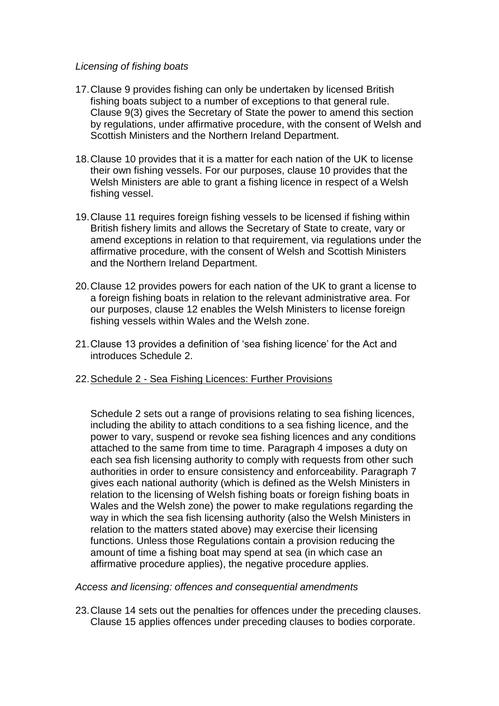### *Licensing of fishing boats*

- 17.Clause 9 provides fishing can only be undertaken by licensed British fishing boats subject to a number of exceptions to that general rule. Clause 9(3) gives the Secretary of State the power to amend this section by regulations, under affirmative procedure, with the consent of Welsh and Scottish Ministers and the Northern Ireland Department.
- 18.Clause 10 provides that it is a matter for each nation of the UK to license their own fishing vessels. For our purposes, clause 10 provides that the Welsh Ministers are able to grant a fishing licence in respect of a Welsh fishing vessel.
- 19.Clause 11 requires foreign fishing vessels to be licensed if fishing within British fishery limits and allows the Secretary of State to create, vary or amend exceptions in relation to that requirement, via regulations under the affirmative procedure, with the consent of Welsh and Scottish Ministers and the Northern Ireland Department.
- 20.Clause 12 provides powers for each nation of the UK to grant a license to a foreign fishing boats in relation to the relevant administrative area. For our purposes, clause 12 enables the Welsh Ministers to license foreign fishing vessels within Wales and the Welsh zone.
- 21.Clause 13 provides a definition of 'sea fishing licence' for the Act and introduces Schedule 2.
- 22.Schedule 2 Sea Fishing Licences: Further Provisions

Schedule 2 sets out a range of provisions relating to sea fishing licences, including the ability to attach conditions to a sea fishing licence, and the power to vary, suspend or revoke sea fishing licences and any conditions attached to the same from time to time. Paragraph 4 imposes a duty on each sea fish licensing authority to comply with requests from other such authorities in order to ensure consistency and enforceability. Paragraph 7 gives each national authority (which is defined as the Welsh Ministers in relation to the licensing of Welsh fishing boats or foreign fishing boats in Wales and the Welsh zone) the power to make regulations regarding the way in which the sea fish licensing authority (also the Welsh Ministers in relation to the matters stated above) may exercise their licensing functions. Unless those Regulations contain a provision reducing the amount of time a fishing boat may spend at sea (in which case an affirmative procedure applies), the negative procedure applies.

*Access and licensing: offences and consequential amendments* 

23.Clause 14 sets out the penalties for offences under the preceding clauses. Clause 15 applies offences under preceding clauses to bodies corporate.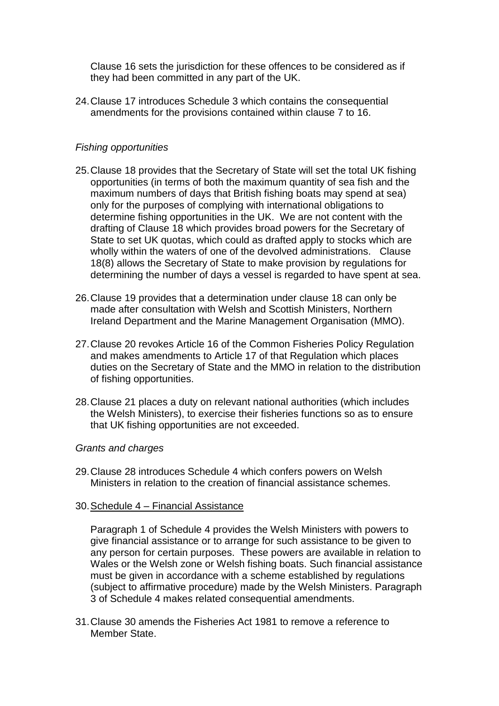Clause 16 sets the jurisdiction for these offences to be considered as if they had been committed in any part of the UK.

24.Clause 17 introduces Schedule 3 which contains the consequential amendments for the provisions contained within clause 7 to 16.

### *Fishing opportunities*

- 25.Clause 18 provides that the Secretary of State will set the total UK fishing opportunities (in terms of both the maximum quantity of sea fish and the maximum numbers of days that British fishing boats may spend at sea) only for the purposes of complying with international obligations to determine fishing opportunities in the UK. We are not content with the drafting of Clause 18 which provides broad powers for the Secretary of State to set UK quotas, which could as drafted apply to stocks which are wholly within the waters of one of the devolved administrations. Clause 18(8) allows the Secretary of State to make provision by regulations for determining the number of days a vessel is regarded to have spent at sea.
- 26.Clause 19 provides that a determination under clause 18 can only be made after consultation with Welsh and Scottish Ministers, Northern Ireland Department and the Marine Management Organisation (MMO).
- 27.Clause 20 revokes Article 16 of the Common Fisheries Policy Regulation and makes amendments to Article 17 of that Regulation which places duties on the Secretary of State and the MMO in relation to the distribution of fishing opportunities.
- 28.Clause 21 places a duty on relevant national authorities (which includes the Welsh Ministers), to exercise their fisheries functions so as to ensure that UK fishing opportunities are not exceeded.

#### *Grants and charges*

- 29.Clause 28 introduces Schedule 4 which confers powers on Welsh Ministers in relation to the creation of financial assistance schemes.
- 30.Schedule 4 Financial Assistance

Paragraph 1 of Schedule 4 provides the Welsh Ministers with powers to give financial assistance or to arrange for such assistance to be given to any person for certain purposes. These powers are available in relation to Wales or the Welsh zone or Welsh fishing boats. Such financial assistance must be given in accordance with a scheme established by regulations (subject to affirmative procedure) made by the Welsh Ministers. Paragraph 3 of Schedule 4 makes related consequential amendments.

31.Clause 30 amends the Fisheries Act 1981 to remove a reference to Member State.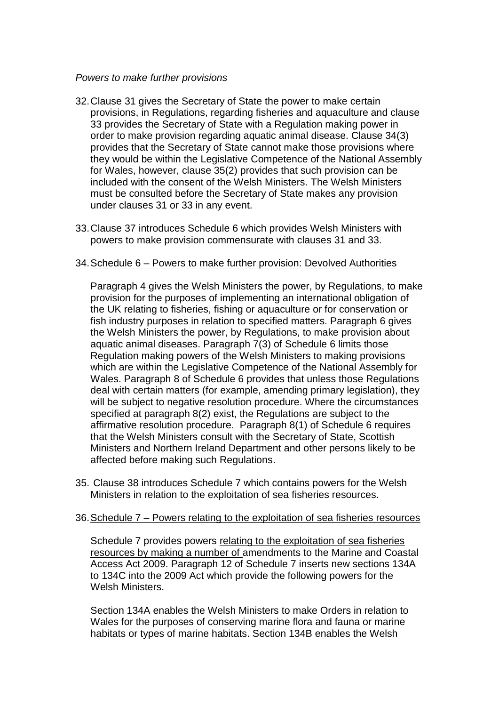### *Powers to make further provisions*

- 32.Clause 31 gives the Secretary of State the power to make certain provisions, in Regulations, regarding fisheries and aquaculture and clause 33 provides the Secretary of State with a Regulation making power in order to make provision regarding aquatic animal disease. Clause 34(3) provides that the Secretary of State cannot make those provisions where they would be within the Legislative Competence of the National Assembly for Wales, however, clause 35(2) provides that such provision can be included with the consent of the Welsh Ministers. The Welsh Ministers must be consulted before the Secretary of State makes any provision under clauses 31 or 33 in any event.
- 33.Clause 37 introduces Schedule 6 which provides Welsh Ministers with powers to make provision commensurate with clauses 31 and 33.

### 34.Schedule 6 – Powers to make further provision: Devolved Authorities

Paragraph 4 gives the Welsh Ministers the power, by Regulations, to make provision for the purposes of implementing an international obligation of the UK relating to fisheries, fishing or aquaculture or for conservation or fish industry purposes in relation to specified matters. Paragraph 6 gives the Welsh Ministers the power, by Regulations, to make provision about aquatic animal diseases. Paragraph 7(3) of Schedule 6 limits those Regulation making powers of the Welsh Ministers to making provisions which are within the Legislative Competence of the National Assembly for Wales. Paragraph 8 of Schedule 6 provides that unless those Regulations deal with certain matters (for example, amending primary legislation), they will be subject to negative resolution procedure. Where the circumstances specified at paragraph 8(2) exist, the Regulations are subject to the affirmative resolution procedure. Paragraph 8(1) of Schedule 6 requires that the Welsh Ministers consult with the Secretary of State, Scottish Ministers and Northern Ireland Department and other persons likely to be affected before making such Regulations.

35. Clause 38 introduces Schedule 7 which contains powers for the Welsh Ministers in relation to the exploitation of sea fisheries resources.

### 36.Schedule 7 – Powers relating to the exploitation of sea fisheries resources

Schedule 7 provides powers relating to the exploitation of sea fisheries resources by making a number of amendments to the Marine and Coastal Access Act 2009. Paragraph 12 of Schedule 7 inserts new sections 134A to 134C into the 2009 Act which provide the following powers for the Welsh Ministers.

Section 134A enables the Welsh Ministers to make Orders in relation to Wales for the purposes of conserving marine flora and fauna or marine habitats or types of marine habitats. Section 134B enables the Welsh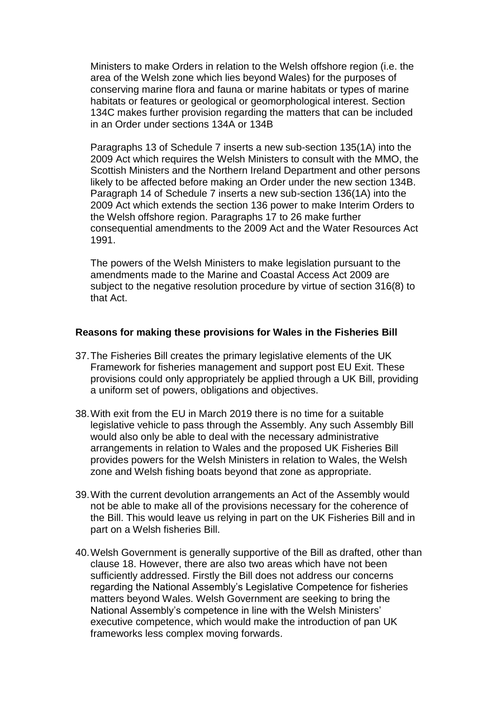Ministers to make Orders in relation to the Welsh offshore region (i.e. the area of the Welsh zone which lies beyond Wales) for the purposes of conserving marine flora and fauna or marine habitats or types of marine habitats or features or geological or geomorphological interest. Section 134C makes further provision regarding the matters that can be included in an Order under sections 134A or 134B

Paragraphs 13 of Schedule 7 inserts a new sub-section 135(1A) into the 2009 Act which requires the Welsh Ministers to consult with the MMO, the Scottish Ministers and the Northern Ireland Department and other persons likely to be affected before making an Order under the new section 134B. Paragraph 14 of Schedule 7 inserts a new sub-section 136(1A) into the 2009 Act which extends the section 136 power to make Interim Orders to the Welsh offshore region. Paragraphs 17 to 26 make further consequential amendments to the 2009 Act and the Water Resources Act 1991.

The powers of the Welsh Ministers to make legislation pursuant to the amendments made to the Marine and Coastal Access Act 2009 are subject to the negative resolution procedure by virtue of section 316(8) to that Act.

#### **Reasons for making these provisions for Wales in the Fisheries Bill**

- 37.The Fisheries Bill creates the primary legislative elements of the UK Framework for fisheries management and support post EU Exit. These provisions could only appropriately be applied through a UK Bill, providing a uniform set of powers, obligations and objectives.
- 38.With exit from the EU in March 2019 there is no time for a suitable legislative vehicle to pass through the Assembly. Any such Assembly Bill would also only be able to deal with the necessary administrative arrangements in relation to Wales and the proposed UK Fisheries Bill provides powers for the Welsh Ministers in relation to Wales, the Welsh zone and Welsh fishing boats beyond that zone as appropriate.
- 39.With the current devolution arrangements an Act of the Assembly would not be able to make all of the provisions necessary for the coherence of the Bill. This would leave us relying in part on the UK Fisheries Bill and in part on a Welsh fisheries Bill.
- 40.Welsh Government is generally supportive of the Bill as drafted, other than clause 18. However, there are also two areas which have not been sufficiently addressed. Firstly the Bill does not address our concerns regarding the National Assembly's Legislative Competence for fisheries matters beyond Wales. Welsh Government are seeking to bring the National Assembly's competence in line with the Welsh Ministers' executive competence, which would make the introduction of pan UK frameworks less complex moving forwards.